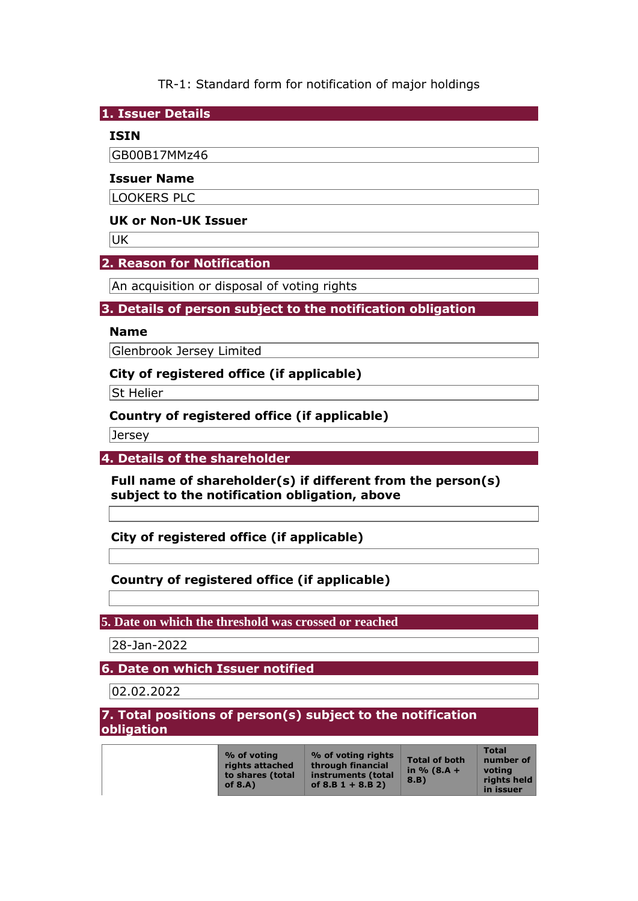TR-1: Standard form for notification of major holdings

**1. Issuer Details** 

### **ISIN**

GB00B17MMz46

#### **Issuer Name**

LOOKERS PLC

### **UK or Non-UK Issuer**

**UK** 

## **2. Reason for Notification**

An acquisition or disposal of voting rights

## **3. Details of person subject to the notification obligation**

#### **Name**

Glenbrook Jersey Limited

## **City of registered office (if applicable)**

**St Helier** 

## **Country of registered office (if applicable)**

Jersey

#### **4. Details of the shareholder**

**Full name of shareholder(s) if different from the person(s) subject to the notification obligation, above** 

**City of registered office (if applicable)** 

## **Country of registered office (if applicable)**

#### **5. Date on which the threshold was crossed or reached**

28-Jan-2022

## **6. Date on which Issuer notified**

02.02.2022

### **7. Total positions of person(s) subject to the notification obligation**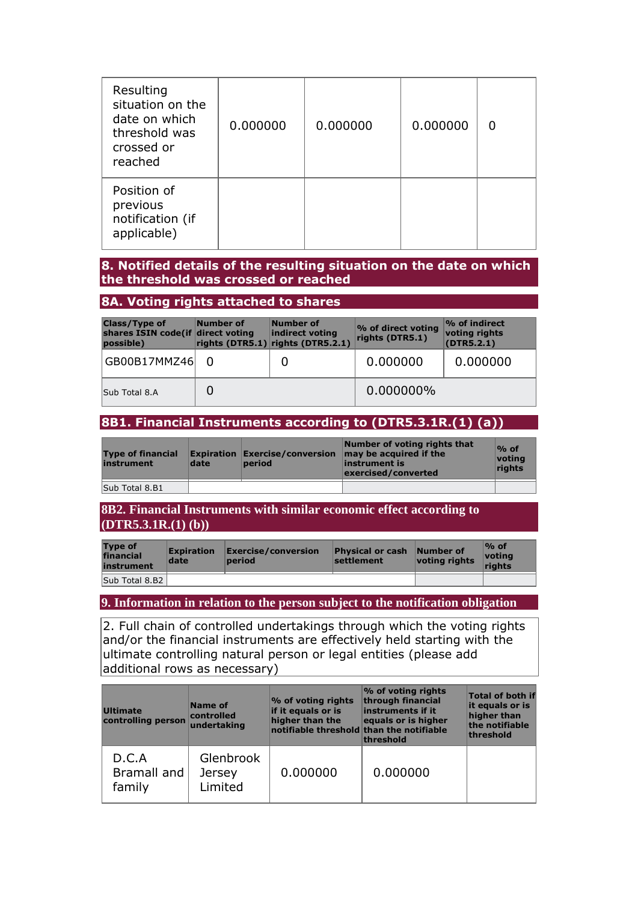| Resulting<br>situation on the<br>date on which<br>threshold was<br>crossed or<br>reached | 0.000000 | 0.000000 | 0.000000 |  |
|------------------------------------------------------------------------------------------|----------|----------|----------|--|
| Position of<br>previous<br>notification (if<br>applicable)                               |          |          |          |  |

#### **8. Notified details of the resulting situation on the date on which the threshold was crossed or reached**

### **8A. Voting rights attached to shares**

| <b>Class/Type of</b><br>shares ISIN code(if direct voting<br>possible) | Number of | Number of<br>indirect voting<br>rights (DTR5.1) rights (DTR5.2.1) | % of direct voting<br>rights (DTR5.1) | $\sim$ of indirect<br>voting rights<br>(DTR5.2.1) |
|------------------------------------------------------------------------|-----------|-------------------------------------------------------------------|---------------------------------------|---------------------------------------------------|
| GB00B17MMZ46                                                           |           |                                                                   | 0.000000                              | 0.000000                                          |
| Sub Total 8.A                                                          |           |                                                                   | 0.000000%                             |                                                   |

# **8B1. Financial Instruments according to (DTR5.3.1R.(1) (a))**

| <b>Type of financial</b><br>instrument | date | <b>Expiration Exercise/conversion</b><br>period | Number of voting rights that<br>may be acquired if the<br>instrument is<br>exercised/converted | $\%$ of<br>votina<br>rights |
|----------------------------------------|------|-------------------------------------------------|------------------------------------------------------------------------------------------------|-----------------------------|
| Sub Total 8.B1                         |      |                                                 |                                                                                                |                             |

**8B2. Financial Instruments with similar economic effect according to (DTR5.3.1R.(1) (b))** 

| <b>Type of</b><br>financial<br>instrument | <b>Expiration</b><br>date | Exercise/conversion<br>period | <b>Physical or cash Number of</b><br>settlement | voting rights | $\%$ of<br><u> votina</u><br>riahts |
|-------------------------------------------|---------------------------|-------------------------------|-------------------------------------------------|---------------|-------------------------------------|
| Sub Total 8.B2                            |                           |                               |                                                 |               |                                     |

**9. Information in relation to the person subject to the notification obligation** 

2. Full chain of controlled undertakings through which the voting rights and/or the financial instruments are effectively held starting with the ultimate controlling natural person or legal entities (please add additional rows as necessary)

| <b>Ultimate</b><br>controlling person | Name of<br>controlled<br>undertaking  | % of voting rights<br>if it equals or is<br>higher than the<br>notifiable threshold than the notifiable | % of voting rights<br>through financial<br>instruments if it<br>equals or is higher<br>threshold | <b>Total of both if</b><br>it equals or is<br>higher than<br>the notifiable<br>threshold |
|---------------------------------------|---------------------------------------|---------------------------------------------------------------------------------------------------------|--------------------------------------------------------------------------------------------------|------------------------------------------------------------------------------------------|
| D.C.A<br>Bramall and<br>family        | Glenbrook<br><b>Jersey</b><br>Limited | 0.000000                                                                                                | 0.000000                                                                                         |                                                                                          |